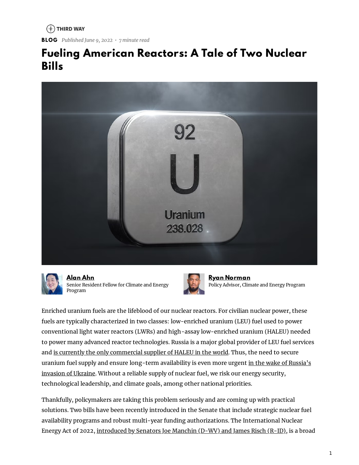$(*)$  THIRD WAY

**BLOG** *Published June 9, 2022 • 7 minute read*

#### **Fueling American Reactors: A Tale of Two Nuclear Bills**





**[Alan](https://www.thirdway.org/about/staff/alan-ahn) Ahn** Senior Resident Fellow for Climate and Energy Program



**Ryan [Norman](https://www.thirdway.org/about/staff/ryan-norman)** Policy Advisor, Climate and Energy Program

Enriched uranium fuels are the lifeblood of our nuclear reactors. For civilian nuclear power, these fuels are typically characterized in two classes: low-enriched uranium (LEU) fuel used to power conventional light water reactors (LWRs) and high-assay low-enriched uranium (HALEU) needed to power many advanced reactor technologies. Russia is a major global provider of LEU fuel services and is currently the only [commercial](https://www.thirdway.org/memo/developing-domestic-haleu-supply-spells-freedom-from-russian-dependency) supplier of HALEU in the world. Thus, the need to secure uranium fuel supply and ensure long-term [availability](https://thehill.com/opinion/energy-environment/3488215-americas-neglect-of-nuclear-energy-has-weakened-our-global-influence/) is even more urgent in the wake of Russia's invasion of Ukraine. Without a reliable supply of nuclear fuel, we risk our energy security, technological leadership, and climate goals, among other national priorities.

Thankfully, policymakers are taking this problem seriously and are coming up with practical solutions. Two bills have been recently introduced in the Senate that include strategic nuclear fuel availability programs and robust multi-year funding authorizations. The International Nuclear Energy Act of 2022, [introduced](https://www.energy.senate.gov/2022/4/manchin-risch-introduce-the-international-nuclear-energy-act-of-2022) by Senators Joe Manchin (D-WV) and James Risch (R-ID), is a broad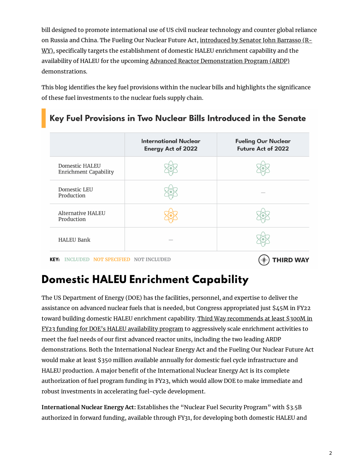bill designed to promote international use of US civil nuclear technology and counter global reliance on Russia and China. The Fueling Our Nuclear Future Act, introduced by Senator John Barrasso (RWY), specifically targets the [establishment](https://www.energy.senate.gov/2022/4/barrasso-introduces-bill-to-secure-american-fuel-for-advanced-nuclear-reactors#:~:text=WASHINGTON%2C%20D.C.%20%E2%80%94%20Today%2C%20U.S.,HALEU)%20for%20advanced%20nuclear%20reactors.) of domestic HALEU enrichment capability and the availability of HALEU for the upcoming Advanced Reactor [Demonstration](https://www.energy.gov/ne/advanced-reactor-demonstration-program) Program (ARDP) demonstrations.

This blog identifies the key fuel provisions within the nuclear bills and highlights the significance of these fuel investments to the nuclear fuels supply chain.

#### Key Fuel Provisions in Two Nuclear Bills Introduced in the Senate

|                                                | <b>International Nuclear</b><br><b>Energy Act of 2022</b> | <b>Fueling Our Nuclear</b><br><b>Future Act of 2022</b> |
|------------------------------------------------|-----------------------------------------------------------|---------------------------------------------------------|
| Domestic HALEU<br><b>Enrichment Capability</b> |                                                           |                                                         |
| Domestic LEU<br>Production                     |                                                           |                                                         |
| Alternative HALEU<br>Production                |                                                           |                                                         |
| <b>HALEU Bank</b>                              |                                                           |                                                         |
|                                                |                                                           |                                                         |

KEY: INCLUDED NOT SPECIFIED NOT INCLUDED

 $(\ast)$  THIRD WAY

## **Domestic HALEU Enrichment Capability**

The US Department of Energy (DOE) has the facilities, personnel, and expertise to deliver the assistance on advanced nuclear fuels that is needed, but Congress appropriated just \$45M in FY22 toward building domestic HALEU enrichment capability. Third Way [recommends](https://www.thirdway.org/memo/spending-smart-high-priority-energy-innovation-appropriations-for-energy-innovation-at-doe) at least \$300M in FY23 funding for DOE's HALEU availability program to aggressively scale enrichment activities to meet the fuel needs of our first advanced reactor units, including the two leading ARDP demonstrations. Both the International Nuclear Energy Act and the Fueling Our Nuclear Future Act would make at least \$350 million available annually for domestic fuel cycle infrastructure and HALEU production. A major benefit of the International Nuclear Energy Act is its complete authorization of fuel program funding in FY23, which would allow DOE to make immediate and robust investments in accelerating fuel-cycle development.

**International Nuclear Energy Act:** Establishes the "Nuclear Fuel Security Program" with \$3.5B authorized in forward funding, available through FY31, for developing both domestic HALEU and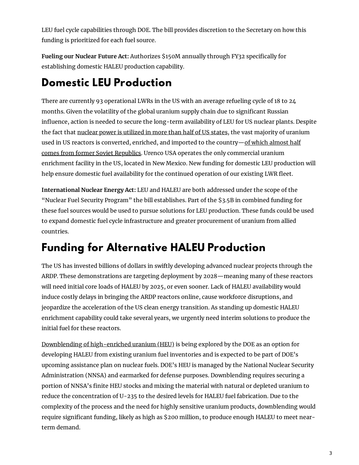LEU fuel cycle capabilities through DOE. The bill provides discretion to the Secretary on how this funding is prioritized for each fuel source.

**Fueling our Nuclear Future Act:** Authorizes \$150M annually through FY32 specically for establishing domestic HALEU production capability.

#### **Domestic LEU Production**

There are currently 93 operational LWRs in the US with an average refueling cycle of 18 to 24 months. Given the volatility of the global uranium supply chain due to significant Russian influence, action is needed to secure the long-term availability of LEU for US nuclear plants. Despite the fact that nuclear power is [utilized](https://www.eia.gov/energyexplained/nuclear/us-nuclear-industry.php) in more than half of US states, the vast majority of uranium used in US reactors is converted, enriched, and imported to the [country—of](https://www.eia.gov/energyexplained/nuclear/where-our-uranium-comes-from.php) which almost half comes from former Soviet Republics. Urenco USA operates the only commercial uranium enrichment facility in the US, located in New Mexico. New funding for domestic LEU production will help ensure domestic fuel availability for the continued operation of our existing LWR fleet.

**International Nuclear Energy Act:** LEU and HALEU are both addressed under the scope of the "Nuclear Fuel Security Program" the bill establishes. Part of the \$3.5B in combined funding for these fuel sources would be used to pursue solutions for LEU production. These funds could be used to expand domestic fuel cycle infrastructure and greater procurement of uranium from allied countries.

## **Funding for Alternative HALEU Production**

The US has invested billions of dollars in swiftly developing advanced nuclear projects through the ARDP. These demonstrations are targeting deployment by 2028—meaning many of these reactors will need initial core loads of HALEU by 2025, or even sooner. Lack of HALEU availability would induce costly delays in bringing the ARDP reactors online, cause workforce disruptions, and jeopardize the acceleration of the US clean energy transition. As standing up domestic HALEU enrichment capability could take several years, we urgently need interim solutions to produce the initial fuel for these reactors.

Downblending of [high-enriched](https://www.thirdway.org/memo/fueling-americas-nuclear-energy-leadership) uranium (HEU) is being explored by the DOE as an option for developing HALEU from existing uranium fuel inventories and is expected to be part of DOE's upcoming assistance plan on nuclear fuels. DOE's HEU is managed by the National Nuclear Security Administration (NNSA) and earmarked for defense purposes. Downblending requires securing a portion of NNSA's finite HEU stocks and mixing the material with natural or depleted uranium to reduce the concentration of U-235 to the desired levels for HALEU fuel fabrication. Due to the complexity of the process and the need for highly sensitive uranium products, downblending would require significant funding, likely as high as \$200 million, to produce enough HALEU to meet nearterm demand.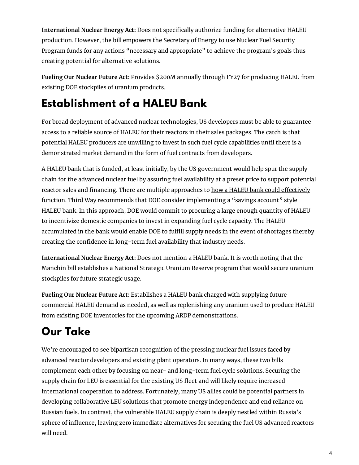**International Nuclear Energy Act:** Does not specically authorize funding for alternative HALEU production. However, the bill empowers the Secretary of Energy to use Nuclear Fuel Security Program funds for any actions "necessary and appropriate" to achieve the program's goals thus creating potential for alternative solutions.

**Fueling Our Nuclear Future Act:** Provides \$200M annually through FY27 for producing HALEU from existing DOE stockpiles of uranium products.

# **Establishment of a HALEU Bank**

For broad deployment of advanced nuclear technologies, US developers must be able to guarantee access to a reliable source of HALEU for their reactors in their sales packages. The catch is that potential HALEU producers are unwilling to invest in such fuel cycle capabilities until there is a demonstrated market demand in the form of fuel contracts from developers.

A HALEU bank that is funded, at least initially, by the US government would help spur the supply chain for the advanced nuclear fuel by assuring fuel availability at a preset price to support potential reactor sales and financing. There are multiple approaches to how a HALEU bank could effectively function. Third Way recommends that DOE consider [implementing](https://www.atlanticcouncil.org/blogs/energysource/how-a-haleu-bank-could-work/) a "savings account" style HALEU bank. In this approach, DOE would commit to procuring a large enough quantity of HALEU to incentivize domestic companies to invest in expanding fuel cycle capacity. The HALEU accumulated in the bank would enable DOE to fulfill supply needs in the event of shortages thereby creating the confidence in long-term fuel availability that industry needs.

**International Nuclear Energy Act:** Does not mention a HALEU bank. It is worth noting that the Manchin bill establishes a National Strategic Uranium Reserve program that would secure uranium stockpiles for future strategic usage.

**Fueling Our Nuclear Future Act:** Establishes a HALEU bank charged with supplying future commercial HALEU demand as needed, as well as replenishing any uranium used to produce HALEU from existing DOE inventories for the upcoming ARDP demonstrations.

# **Our Take**

We're encouraged to see bipartisan recognition of the pressing nuclear fuel issues faced by advanced reactor developers and existing plant operators. In many ways, these two bills complement each other by focusing on near- and long-term fuel cycle solutions. Securing the supply chain for LEU is essential for the existing US fleet and will likely require increased international cooperation to address. Fortunately, many US allies could be potential partners in developing collaborative LEU solutions that promote energy independence and end reliance on Russian fuels. In contrast, the vulnerable HALEU supply chain is deeply nestled within Russia's sphere of influence, leaving zero immediate alternatives for securing the fuel US advanced reactors will need.